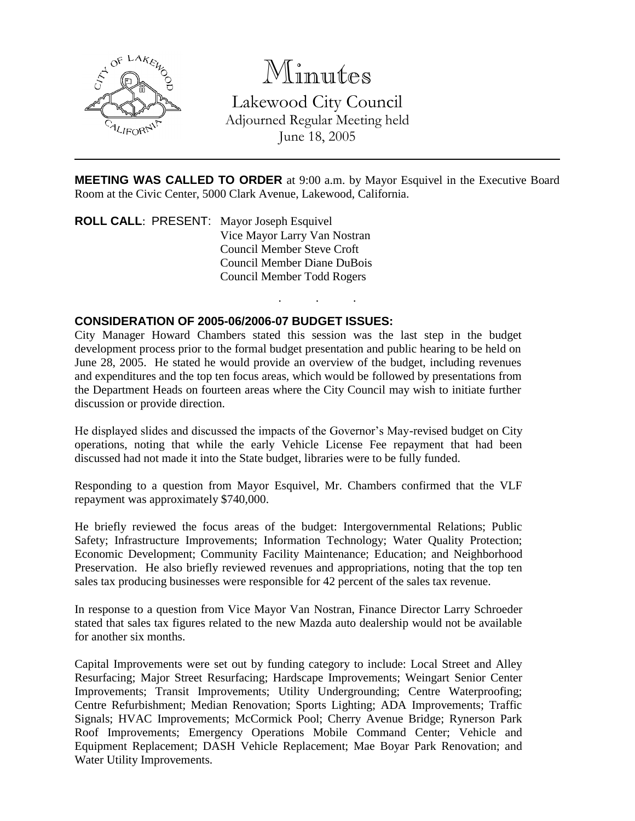

# Minutes

Lakewood City Council Adjourned Regular Meeting held June 18, 2005

**MEETING WAS CALLED TO ORDER** at 9:00 a.m. by Mayor Esquivel in the Executive Board Room at the Civic Center, 5000 Clark Avenue, Lakewood, California.

. . .

**ROLL CALL**: PRESENT: Mayor Joseph Esquivel Vice Mayor Larry Van Nostran Council Member Steve Croft Council Member Diane DuBois Council Member Todd Rogers

#### **CONSIDERATION OF 2005-06/2006-07 BUDGET ISSUES:**

City Manager Howard Chambers stated this session was the last step in the budget development process prior to the formal budget presentation and public hearing to be held on June 28, 2005. He stated he would provide an overview of the budget, including revenues and expenditures and the top ten focus areas, which would be followed by presentations from the Department Heads on fourteen areas where the City Council may wish to initiate further discussion or provide direction.

He displayed slides and discussed the impacts of the Governor's May-revised budget on City operations, noting that while the early Vehicle License Fee repayment that had been discussed had not made it into the State budget, libraries were to be fully funded.

Responding to a question from Mayor Esquivel, Mr. Chambers confirmed that the VLF repayment was approximately \$740,000.

He briefly reviewed the focus areas of the budget: Intergovernmental Relations; Public Safety; Infrastructure Improvements; Information Technology; Water Quality Protection; Economic Development; Community Facility Maintenance; Education; and Neighborhood Preservation. He also briefly reviewed revenues and appropriations, noting that the top ten sales tax producing businesses were responsible for 42 percent of the sales tax revenue.

In response to a question from Vice Mayor Van Nostran, Finance Director Larry Schroeder stated that sales tax figures related to the new Mazda auto dealership would not be available for another six months.

Capital Improvements were set out by funding category to include: Local Street and Alley Resurfacing; Major Street Resurfacing; Hardscape Improvements; Weingart Senior Center Improvements; Transit Improvements; Utility Undergrounding; Centre Waterproofing; Centre Refurbishment; Median Renovation; Sports Lighting; ADA Improvements; Traffic Signals; HVAC Improvements; McCormick Pool; Cherry Avenue Bridge; Rynerson Park Roof Improvements; Emergency Operations Mobile Command Center; Vehicle and Equipment Replacement; DASH Vehicle Replacement; Mae Boyar Park Renovation; and Water Utility Improvements.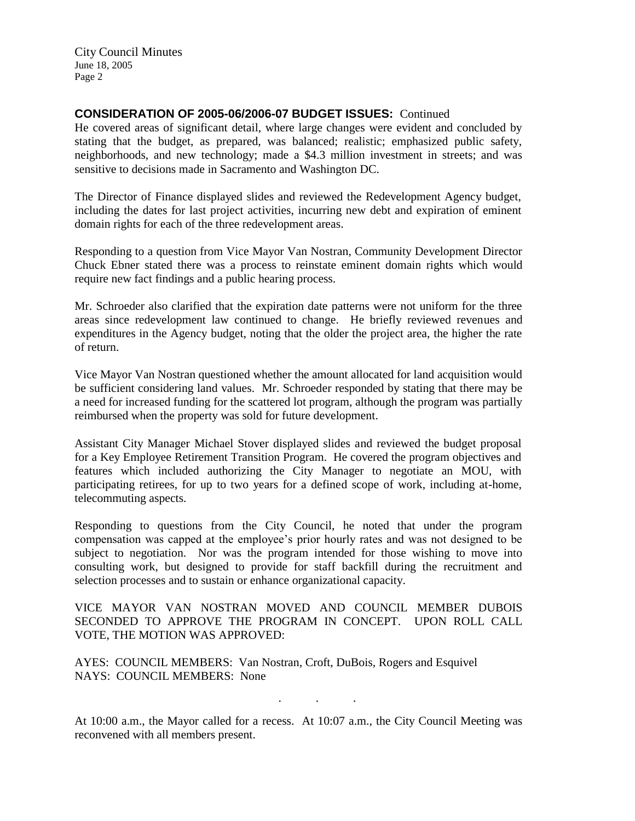## **CONSIDERATION OF 2005-06/2006-07 BUDGET ISSUES:** Continued

He covered areas of significant detail, where large changes were evident and concluded by stating that the budget, as prepared, was balanced; realistic; emphasized public safety, neighborhoods, and new technology; made a \$4.3 million investment in streets; and was sensitive to decisions made in Sacramento and Washington DC.

The Director of Finance displayed slides and reviewed the Redevelopment Agency budget, including the dates for last project activities, incurring new debt and expiration of eminent domain rights for each of the three redevelopment areas.

Responding to a question from Vice Mayor Van Nostran, Community Development Director Chuck Ebner stated there was a process to reinstate eminent domain rights which would require new fact findings and a public hearing process.

Mr. Schroeder also clarified that the expiration date patterns were not uniform for the three areas since redevelopment law continued to change. He briefly reviewed revenues and expenditures in the Agency budget, noting that the older the project area, the higher the rate of return.

Vice Mayor Van Nostran questioned whether the amount allocated for land acquisition would be sufficient considering land values. Mr. Schroeder responded by stating that there may be a need for increased funding for the scattered lot program, although the program was partially reimbursed when the property was sold for future development.

Assistant City Manager Michael Stover displayed slides and reviewed the budget proposal for a Key Employee Retirement Transition Program. He covered the program objectives and features which included authorizing the City Manager to negotiate an MOU, with participating retirees, for up to two years for a defined scope of work, including at-home, telecommuting aspects.

Responding to questions from the City Council, he noted that under the program compensation was capped at the employee's prior hourly rates and was not designed to be subject to negotiation. Nor was the program intended for those wishing to move into consulting work, but designed to provide for staff backfill during the recruitment and selection processes and to sustain or enhance organizational capacity.

VICE MAYOR VAN NOSTRAN MOVED AND COUNCIL MEMBER DUBOIS SECONDED TO APPROVE THE PROGRAM IN CONCEPT. UPON ROLL CALL VOTE, THE MOTION WAS APPROVED:

AYES: COUNCIL MEMBERS: Van Nostran, Croft, DuBois, Rogers and Esquivel NAYS: COUNCIL MEMBERS: None

At 10:00 a.m., the Mayor called for a recess. At 10:07 a.m., the City Council Meeting was reconvened with all members present.

. . .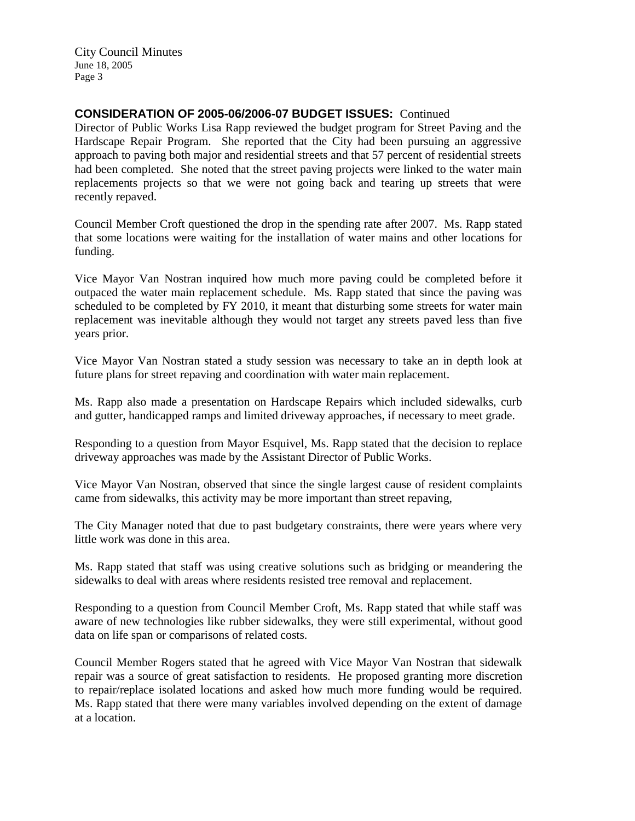## **CONSIDERATION OF 2005-06/2006-07 BUDGET ISSUES:** Continued

Director of Public Works Lisa Rapp reviewed the budget program for Street Paving and the Hardscape Repair Program. She reported that the City had been pursuing an aggressive approach to paving both major and residential streets and that 57 percent of residential streets had been completed. She noted that the street paving projects were linked to the water main replacements projects so that we were not going back and tearing up streets that were recently repaved.

Council Member Croft questioned the drop in the spending rate after 2007. Ms. Rapp stated that some locations were waiting for the installation of water mains and other locations for funding.

Vice Mayor Van Nostran inquired how much more paving could be completed before it outpaced the water main replacement schedule. Ms. Rapp stated that since the paving was scheduled to be completed by FY 2010, it meant that disturbing some streets for water main replacement was inevitable although they would not target any streets paved less than five years prior.

Vice Mayor Van Nostran stated a study session was necessary to take an in depth look at future plans for street repaving and coordination with water main replacement.

Ms. Rapp also made a presentation on Hardscape Repairs which included sidewalks, curb and gutter, handicapped ramps and limited driveway approaches, if necessary to meet grade.

Responding to a question from Mayor Esquivel, Ms. Rapp stated that the decision to replace driveway approaches was made by the Assistant Director of Public Works.

Vice Mayor Van Nostran, observed that since the single largest cause of resident complaints came from sidewalks, this activity may be more important than street repaving,

The City Manager noted that due to past budgetary constraints, there were years where very little work was done in this area.

Ms. Rapp stated that staff was using creative solutions such as bridging or meandering the sidewalks to deal with areas where residents resisted tree removal and replacement.

Responding to a question from Council Member Croft, Ms. Rapp stated that while staff was aware of new technologies like rubber sidewalks, they were still experimental, without good data on life span or comparisons of related costs.

Council Member Rogers stated that he agreed with Vice Mayor Van Nostran that sidewalk repair was a source of great satisfaction to residents. He proposed granting more discretion to repair/replace isolated locations and asked how much more funding would be required. Ms. Rapp stated that there were many variables involved depending on the extent of damage at a location.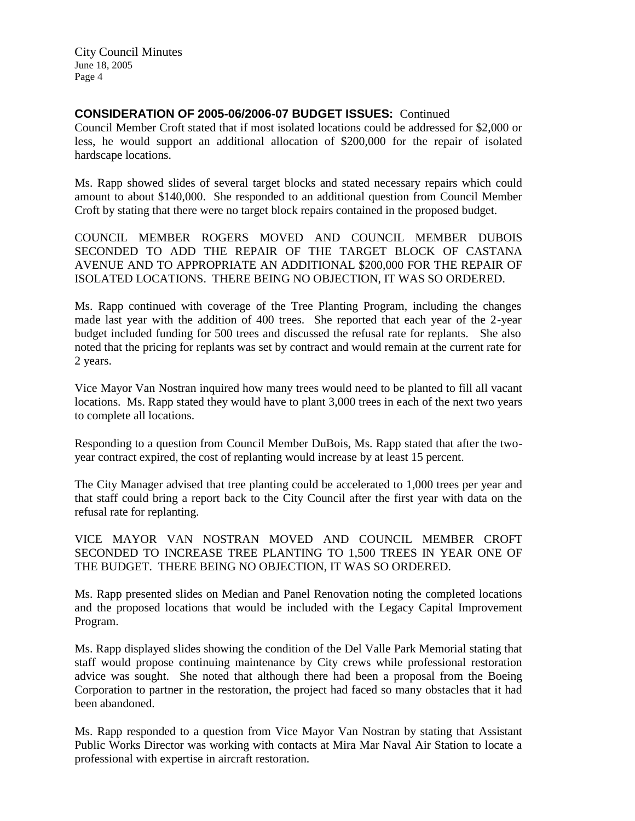## **CONSIDERATION OF 2005-06/2006-07 BUDGET ISSUES:** Continued

Council Member Croft stated that if most isolated locations could be addressed for \$2,000 or less, he would support an additional allocation of \$200,000 for the repair of isolated hardscape locations.

Ms. Rapp showed slides of several target blocks and stated necessary repairs which could amount to about \$140,000. She responded to an additional question from Council Member Croft by stating that there were no target block repairs contained in the proposed budget.

COUNCIL MEMBER ROGERS MOVED AND COUNCIL MEMBER DUBOIS SECONDED TO ADD THE REPAIR OF THE TARGET BLOCK OF CASTANA AVENUE AND TO APPROPRIATE AN ADDITIONAL \$200,000 FOR THE REPAIR OF ISOLATED LOCATIONS. THERE BEING NO OBJECTION, IT WAS SO ORDERED.

Ms. Rapp continued with coverage of the Tree Planting Program, including the changes made last year with the addition of 400 trees. She reported that each year of the 2-year budget included funding for 500 trees and discussed the refusal rate for replants. She also noted that the pricing for replants was set by contract and would remain at the current rate for 2 years.

Vice Mayor Van Nostran inquired how many trees would need to be planted to fill all vacant locations. Ms. Rapp stated they would have to plant 3,000 trees in each of the next two years to complete all locations.

Responding to a question from Council Member DuBois, Ms. Rapp stated that after the twoyear contract expired, the cost of replanting would increase by at least 15 percent.

The City Manager advised that tree planting could be accelerated to 1,000 trees per year and that staff could bring a report back to the City Council after the first year with data on the refusal rate for replanting.

VICE MAYOR VAN NOSTRAN MOVED AND COUNCIL MEMBER CROFT SECONDED TO INCREASE TREE PLANTING TO 1,500 TREES IN YEAR ONE OF THE BUDGET. THERE BEING NO OBJECTION, IT WAS SO ORDERED.

Ms. Rapp presented slides on Median and Panel Renovation noting the completed locations and the proposed locations that would be included with the Legacy Capital Improvement Program.

Ms. Rapp displayed slides showing the condition of the Del Valle Park Memorial stating that staff would propose continuing maintenance by City crews while professional restoration advice was sought. She noted that although there had been a proposal from the Boeing Corporation to partner in the restoration, the project had faced so many obstacles that it had been abandoned.

Ms. Rapp responded to a question from Vice Mayor Van Nostran by stating that Assistant Public Works Director was working with contacts at Mira Mar Naval Air Station to locate a professional with expertise in aircraft restoration.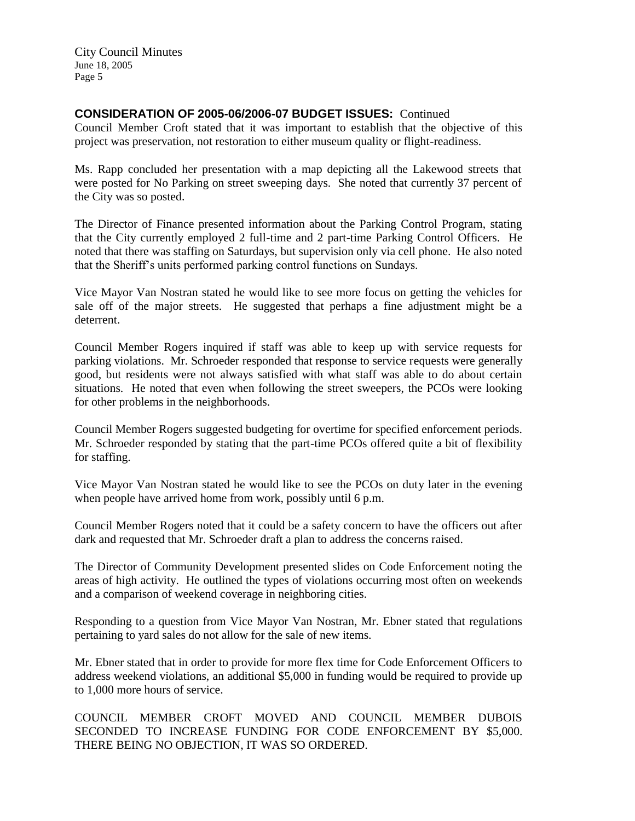# **CONSIDERATION OF 2005-06/2006-07 BUDGET ISSUES:** Continued

Council Member Croft stated that it was important to establish that the objective of this project was preservation, not restoration to either museum quality or flight-readiness.

Ms. Rapp concluded her presentation with a map depicting all the Lakewood streets that were posted for No Parking on street sweeping days. She noted that currently 37 percent of the City was so posted.

The Director of Finance presented information about the Parking Control Program, stating that the City currently employed 2 full-time and 2 part-time Parking Control Officers. He noted that there was staffing on Saturdays, but supervision only via cell phone. He also noted that the Sheriff's units performed parking control functions on Sundays.

Vice Mayor Van Nostran stated he would like to see more focus on getting the vehicles for sale off of the major streets. He suggested that perhaps a fine adjustment might be a deterrent.

Council Member Rogers inquired if staff was able to keep up with service requests for parking violations. Mr. Schroeder responded that response to service requests were generally good, but residents were not always satisfied with what staff was able to do about certain situations. He noted that even when following the street sweepers, the PCOs were looking for other problems in the neighborhoods.

Council Member Rogers suggested budgeting for overtime for specified enforcement periods. Mr. Schroeder responded by stating that the part-time PCOs offered quite a bit of flexibility for staffing.

Vice Mayor Van Nostran stated he would like to see the PCOs on duty later in the evening when people have arrived home from work, possibly until 6 p.m.

Council Member Rogers noted that it could be a safety concern to have the officers out after dark and requested that Mr. Schroeder draft a plan to address the concerns raised.

The Director of Community Development presented slides on Code Enforcement noting the areas of high activity. He outlined the types of violations occurring most often on weekends and a comparison of weekend coverage in neighboring cities.

Responding to a question from Vice Mayor Van Nostran, Mr. Ebner stated that regulations pertaining to yard sales do not allow for the sale of new items.

Mr. Ebner stated that in order to provide for more flex time for Code Enforcement Officers to address weekend violations, an additional \$5,000 in funding would be required to provide up to 1,000 more hours of service.

COUNCIL MEMBER CROFT MOVED AND COUNCIL MEMBER DUBOIS SECONDED TO INCREASE FUNDING FOR CODE ENFORCEMENT BY \$5,000. THERE BEING NO OBJECTION, IT WAS SO ORDERED.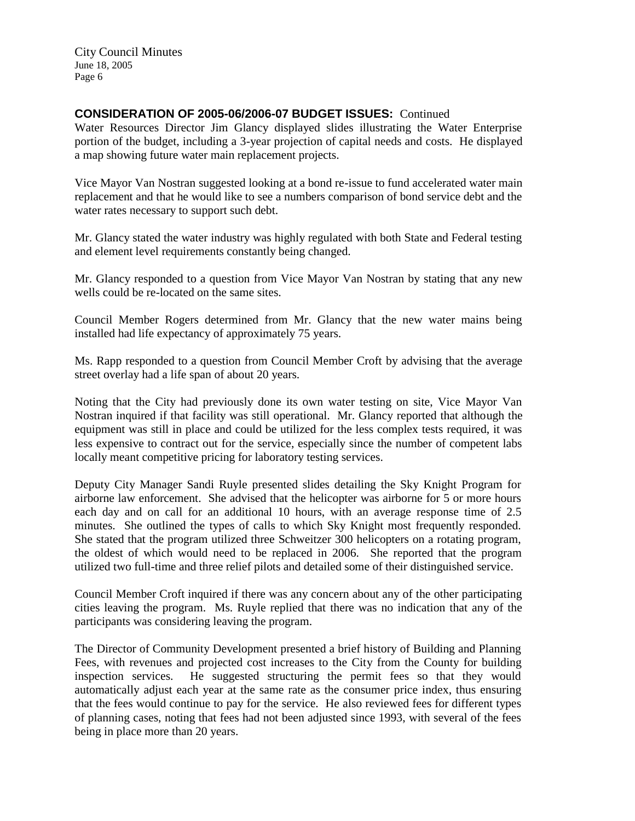#### **CONSIDERATION OF 2005-06/2006-07 BUDGET ISSUES:** Continued

Water Resources Director Jim Glancy displayed slides illustrating the Water Enterprise portion of the budget, including a 3-year projection of capital needs and costs. He displayed a map showing future water main replacement projects.

Vice Mayor Van Nostran suggested looking at a bond re-issue to fund accelerated water main replacement and that he would like to see a numbers comparison of bond service debt and the water rates necessary to support such debt.

Mr. Glancy stated the water industry was highly regulated with both State and Federal testing and element level requirements constantly being changed.

Mr. Glancy responded to a question from Vice Mayor Van Nostran by stating that any new wells could be re-located on the same sites.

Council Member Rogers determined from Mr. Glancy that the new water mains being installed had life expectancy of approximately 75 years.

Ms. Rapp responded to a question from Council Member Croft by advising that the average street overlay had a life span of about 20 years.

Noting that the City had previously done its own water testing on site, Vice Mayor Van Nostran inquired if that facility was still operational. Mr. Glancy reported that although the equipment was still in place and could be utilized for the less complex tests required, it was less expensive to contract out for the service, especially since the number of competent labs locally meant competitive pricing for laboratory testing services.

Deputy City Manager Sandi Ruyle presented slides detailing the Sky Knight Program for airborne law enforcement. She advised that the helicopter was airborne for 5 or more hours each day and on call for an additional 10 hours, with an average response time of 2.5 minutes. She outlined the types of calls to which Sky Knight most frequently responded. She stated that the program utilized three Schweitzer 300 helicopters on a rotating program, the oldest of which would need to be replaced in 2006. She reported that the program utilized two full-time and three relief pilots and detailed some of their distinguished service.

Council Member Croft inquired if there was any concern about any of the other participating cities leaving the program. Ms. Ruyle replied that there was no indication that any of the participants was considering leaving the program.

The Director of Community Development presented a brief history of Building and Planning Fees, with revenues and projected cost increases to the City from the County for building inspection services. He suggested structuring the permit fees so that they would automatically adjust each year at the same rate as the consumer price index, thus ensuring that the fees would continue to pay for the service. He also reviewed fees for different types of planning cases, noting that fees had not been adjusted since 1993, with several of the fees being in place more than 20 years.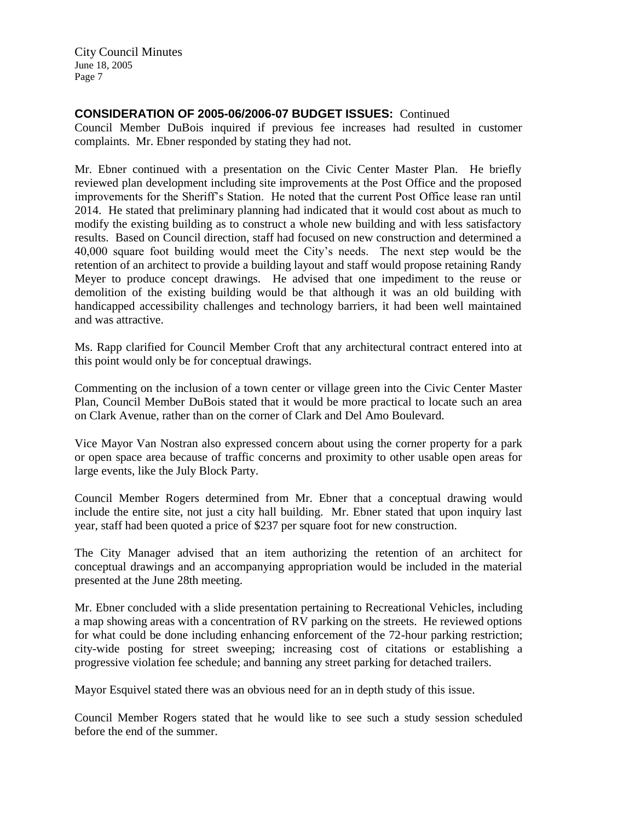## **CONSIDERATION OF 2005-06/2006-07 BUDGET ISSUES:** Continued

Council Member DuBois inquired if previous fee increases had resulted in customer complaints. Mr. Ebner responded by stating they had not.

Mr. Ebner continued with a presentation on the Civic Center Master Plan. He briefly reviewed plan development including site improvements at the Post Office and the proposed improvements for the Sheriff's Station. He noted that the current Post Office lease ran until 2014. He stated that preliminary planning had indicated that it would cost about as much to modify the existing building as to construct a whole new building and with less satisfactory results. Based on Council direction, staff had focused on new construction and determined a 40,000 square foot building would meet the City's needs. The next step would be the retention of an architect to provide a building layout and staff would propose retaining Randy Meyer to produce concept drawings. He advised that one impediment to the reuse or demolition of the existing building would be that although it was an old building with handicapped accessibility challenges and technology barriers, it had been well maintained and was attractive.

Ms. Rapp clarified for Council Member Croft that any architectural contract entered into at this point would only be for conceptual drawings.

Commenting on the inclusion of a town center or village green into the Civic Center Master Plan, Council Member DuBois stated that it would be more practical to locate such an area on Clark Avenue, rather than on the corner of Clark and Del Amo Boulevard.

Vice Mayor Van Nostran also expressed concern about using the corner property for a park or open space area because of traffic concerns and proximity to other usable open areas for large events, like the July Block Party.

Council Member Rogers determined from Mr. Ebner that a conceptual drawing would include the entire site, not just a city hall building. Mr. Ebner stated that upon inquiry last year, staff had been quoted a price of \$237 per square foot for new construction.

The City Manager advised that an item authorizing the retention of an architect for conceptual drawings and an accompanying appropriation would be included in the material presented at the June 28th meeting.

Mr. Ebner concluded with a slide presentation pertaining to Recreational Vehicles, including a map showing areas with a concentration of RV parking on the streets. He reviewed options for what could be done including enhancing enforcement of the 72-hour parking restriction; city-wide posting for street sweeping; increasing cost of citations or establishing a progressive violation fee schedule; and banning any street parking for detached trailers.

Mayor Esquivel stated there was an obvious need for an in depth study of this issue.

Council Member Rogers stated that he would like to see such a study session scheduled before the end of the summer.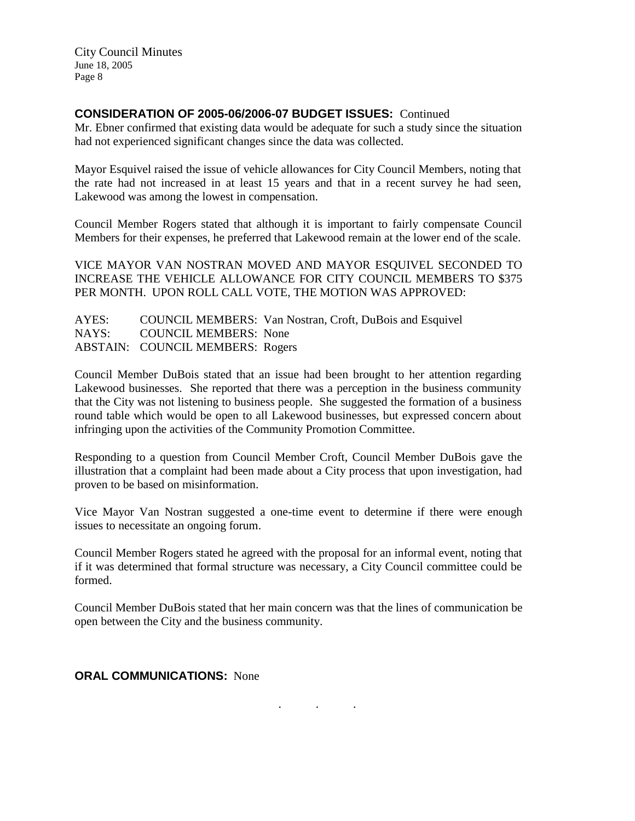## **CONSIDERATION OF 2005-06/2006-07 BUDGET ISSUES:** Continued

Mr. Ebner confirmed that existing data would be adequate for such a study since the situation had not experienced significant changes since the data was collected.

Mayor Esquivel raised the issue of vehicle allowances for City Council Members, noting that the rate had not increased in at least 15 years and that in a recent survey he had seen, Lakewood was among the lowest in compensation.

Council Member Rogers stated that although it is important to fairly compensate Council Members for their expenses, he preferred that Lakewood remain at the lower end of the scale.

VICE MAYOR VAN NOSTRAN MOVED AND MAYOR ESQUIVEL SECONDED TO INCREASE THE VEHICLE ALLOWANCE FOR CITY COUNCIL MEMBERS TO \$375 PER MONTH. UPON ROLL CALL VOTE, THE MOTION WAS APPROVED:

AYES: COUNCIL MEMBERS: Van Nostran, Croft, DuBois and Esquivel NAYS: COUNCIL MEMBERS: None ABSTAIN: COUNCIL MEMBERS: Rogers

Council Member DuBois stated that an issue had been brought to her attention regarding Lakewood businesses. She reported that there was a perception in the business community that the City was not listening to business people. She suggested the formation of a business round table which would be open to all Lakewood businesses, but expressed concern about infringing upon the activities of the Community Promotion Committee.

Responding to a question from Council Member Croft, Council Member DuBois gave the illustration that a complaint had been made about a City process that upon investigation, had proven to be based on misinformation.

Vice Mayor Van Nostran suggested a one-time event to determine if there were enough issues to necessitate an ongoing forum.

Council Member Rogers stated he agreed with the proposal for an informal event, noting that if it was determined that formal structure was necessary, a City Council committee could be formed.

Council Member DuBois stated that her main concern was that the lines of communication be open between the City and the business community.

. . .

**ORAL COMMUNICATIONS:** None